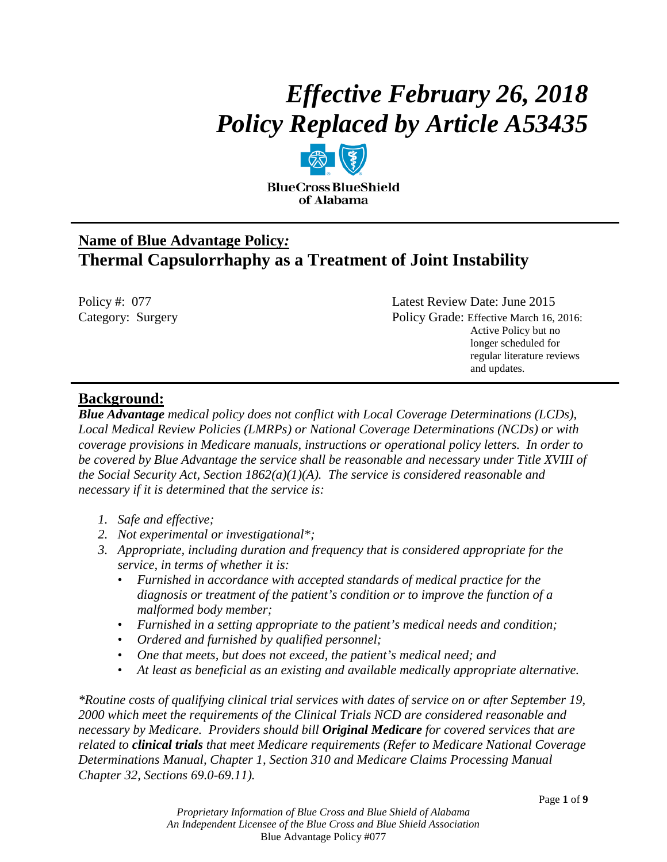# *Effective February 26, 2018 Policy Replaced by Article A53435*

**BlueCross BlueShield** of Alabama

# **Name of Blue Advantage Policy***:* **Thermal Capsulorrhaphy as a Treatment of Joint Instability**

| Policy #: $077$   | Latest Review Date: June 2015           |
|-------------------|-----------------------------------------|
| Category: Surgery | Policy Grade: Effective March 16, 2016: |
|                   | Active Policy but no                    |
|                   | longer scheduled for                    |
|                   | regular literature reviews              |
|                   | and updates.                            |

# **Background:**

*Blue Advantage medical policy does not conflict with Local Coverage Determinations (LCDs), Local Medical Review Policies (LMRPs) or National Coverage Determinations (NCDs) or with coverage provisions in Medicare manuals, instructions or operational policy letters. In order to be covered by Blue Advantage the service shall be reasonable and necessary under Title XVIII of the Social Security Act, Section 1862(a)(1)(A). The service is considered reasonable and necessary if it is determined that the service is:*

- *1. Safe and effective;*
- *2. Not experimental or investigational\*;*
- *3. Appropriate, including duration and frequency that is considered appropriate for the service, in terms of whether it is:*
	- *Furnished in accordance with accepted standards of medical practice for the diagnosis or treatment of the patient's condition or to improve the function of a malformed body member;*
	- *Furnished in a setting appropriate to the patient's medical needs and condition;*
	- *Ordered and furnished by qualified personnel;*
	- *One that meets, but does not exceed, the patient's medical need; and*
	- *At least as beneficial as an existing and available medically appropriate alternative.*

*\*Routine costs of qualifying clinical trial services with dates of service on or after September 19, 2000 which meet the requirements of the Clinical Trials NCD are considered reasonable and necessary by Medicare. Providers should bill Original Medicare for covered services that are related to clinical trials that meet Medicare requirements (Refer to Medicare National Coverage Determinations Manual, Chapter 1, Section 310 and Medicare Claims Processing Manual Chapter 32, Sections 69.0-69.11).*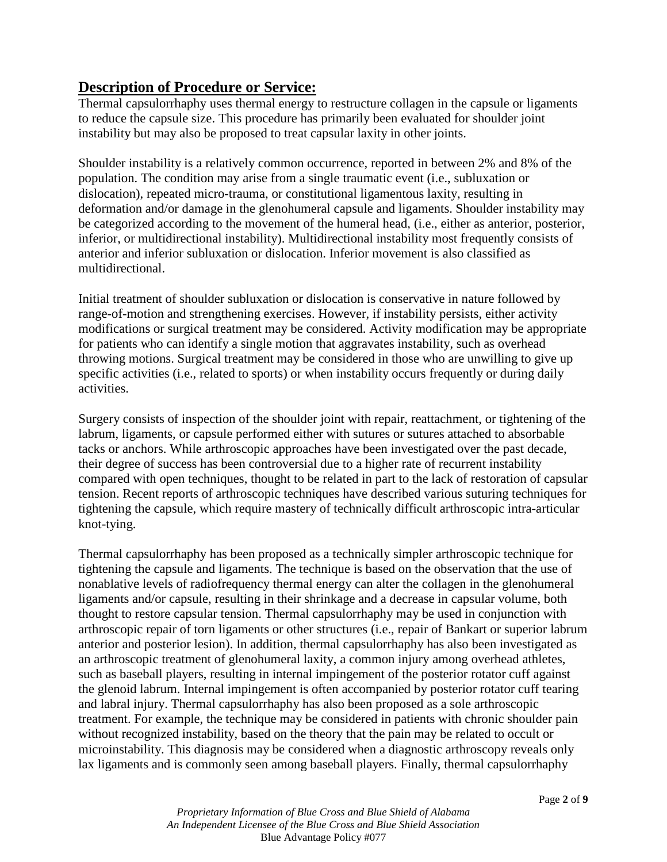# **Description of Procedure or Service:**

Thermal capsulorrhaphy uses thermal energy to restructure collagen in the capsule or ligaments to reduce the capsule size. This procedure has primarily been evaluated for shoulder joint instability but may also be proposed to treat capsular laxity in other joints.

Shoulder instability is a relatively common occurrence, reported in between 2% and 8% of the population. The condition may arise from a single traumatic event (i.e., subluxation or dislocation), repeated micro-trauma, or constitutional ligamentous laxity, resulting in deformation and/or damage in the glenohumeral capsule and ligaments. Shoulder instability may be categorized according to the movement of the humeral head, (i.e., either as anterior, posterior, inferior, or multidirectional instability). Multidirectional instability most frequently consists of anterior and inferior subluxation or dislocation. Inferior movement is also classified as multidirectional.

Initial treatment of shoulder subluxation or dislocation is conservative in nature followed by range-of-motion and strengthening exercises. However, if instability persists, either activity modifications or surgical treatment may be considered. Activity modification may be appropriate for patients who can identify a single motion that aggravates instability, such as overhead throwing motions. Surgical treatment may be considered in those who are unwilling to give up specific activities (i.e., related to sports) or when instability occurs frequently or during daily activities.

Surgery consists of inspection of the shoulder joint with repair, reattachment, or tightening of the labrum, ligaments, or capsule performed either with sutures or sutures attached to absorbable tacks or anchors. While arthroscopic approaches have been investigated over the past decade, their degree of success has been controversial due to a higher rate of recurrent instability compared with open techniques, thought to be related in part to the lack of restoration of capsular tension. Recent reports of arthroscopic techniques have described various suturing techniques for tightening the capsule, which require mastery of technically difficult arthroscopic intra-articular knot-tying.

Thermal capsulorrhaphy has been proposed as a technically simpler arthroscopic technique for tightening the capsule and ligaments. The technique is based on the observation that the use of nonablative levels of radiofrequency thermal energy can alter the collagen in the glenohumeral ligaments and/or capsule, resulting in their shrinkage and a decrease in capsular volume, both thought to restore capsular tension. Thermal capsulorrhaphy may be used in conjunction with arthroscopic repair of torn ligaments or other structures (i.e., repair of Bankart or superior labrum anterior and posterior lesion). In addition, thermal capsulorrhaphy has also been investigated as an arthroscopic treatment of glenohumeral laxity, a common injury among overhead athletes, such as baseball players, resulting in internal impingement of the posterior rotator cuff against the glenoid labrum. Internal impingement is often accompanied by posterior rotator cuff tearing and labral injury. Thermal capsulorrhaphy has also been proposed as a sole arthroscopic treatment. For example, the technique may be considered in patients with chronic shoulder pain without recognized instability, based on the theory that the pain may be related to occult or microinstability. This diagnosis may be considered when a diagnostic arthroscopy reveals only lax ligaments and is commonly seen among baseball players. Finally, thermal capsulorrhaphy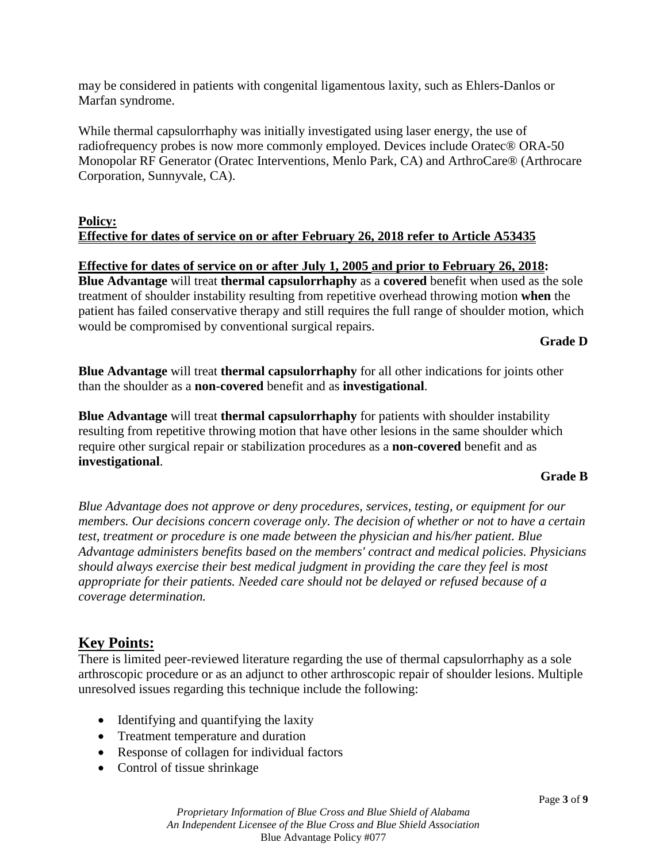may be considered in patients with congenital ligamentous laxity, such as Ehlers-Danlos or Marfan syndrome.

While thermal capsulorrhaphy was initially investigated using laser energy, the use of radiofrequency probes is now more commonly employed. Devices include Oratec® ORA-50 Monopolar RF Generator (Oratec Interventions, Menlo Park, CA) and ArthroCare® (Arthrocare Corporation, Sunnyvale, CA).

#### **Policy: Effective for dates of service on or after February 26, 2018 refer to Article A53435**

#### **Effective for dates of service on or after July 1, 2005 and prior to February 26, 2018:**

**Blue Advantage** will treat **thermal capsulorrhaphy** as a **covered** benefit when used as the sole treatment of shoulder instability resulting from repetitive overhead throwing motion **when** the patient has failed conservative therapy and still requires the full range of shoulder motion, which would be compromised by conventional surgical repairs.

**Grade D**

**Blue Advantage** will treat **thermal capsulorrhaphy** for all other indications for joints other than the shoulder as a **non-covered** benefit and as **investigational**.

**Blue Advantage** will treat **thermal capsulorrhaphy** for patients with shoulder instability resulting from repetitive throwing motion that have other lesions in the same shoulder which require other surgical repair or stabilization procedures as a **non-covered** benefit and as **investigational**.

#### **Grade B**

*Blue Advantage does not approve or deny procedures, services, testing, or equipment for our members. Our decisions concern coverage only. The decision of whether or not to have a certain test, treatment or procedure is one made between the physician and his/her patient. Blue Advantage administers benefits based on the members' contract and medical policies. Physicians should always exercise their best medical judgment in providing the care they feel is most appropriate for their patients. Needed care should not be delayed or refused because of a coverage determination.*

# **Key Points:**

There is limited peer-reviewed literature regarding the use of thermal capsulorrhaphy as a sole arthroscopic procedure or as an adjunct to other arthroscopic repair of shoulder lesions. Multiple unresolved issues regarding this technique include the following:

- Identifying and quantifying the laxity
- Treatment temperature and duration
- Response of collagen for individual factors
- Control of tissue shrinkage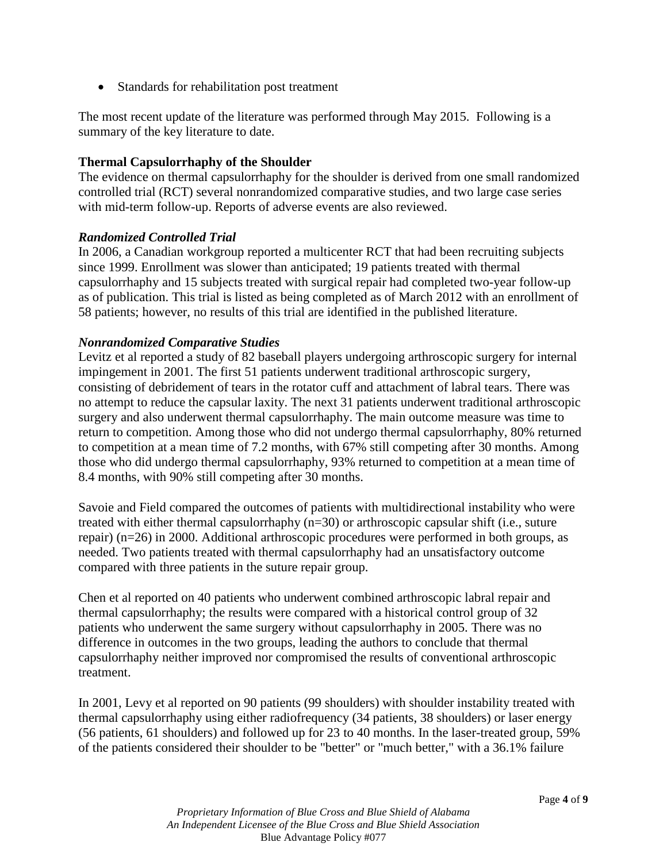• Standards for rehabilitation post treatment

The most recent update of the literature was performed through May 2015. Following is a summary of the key literature to date.

#### **Thermal Capsulorrhaphy of the Shoulder**

The evidence on thermal capsulorrhaphy for the shoulder is derived from one small randomized controlled trial (RCT) several nonrandomized comparative studies, and two large case series with mid-term follow-up. Reports of adverse events are also reviewed.

#### *Randomized Controlled Trial*

In 2006, a Canadian workgroup reported a multicenter RCT that had been recruiting subjects since 1999. Enrollment was slower than anticipated; 19 patients treated with thermal capsulorrhaphy and 15 subjects treated with surgical repair had completed two-year follow-up as of publication. This trial is listed as being completed as of March 2012 with an enrollment of 58 patients; however, no results of this trial are identified in the published literature.

#### *Nonrandomized Comparative Studies*

Levitz et al reported a study of 82 baseball players undergoing arthroscopic surgery for internal impingement in 2001. The first 51 patients underwent traditional arthroscopic surgery, consisting of debridement of tears in the rotator cuff and attachment of labral tears. There was no attempt to reduce the capsular laxity. The next 31 patients underwent traditional arthroscopic surgery and also underwent thermal capsulorrhaphy. The main outcome measure was time to return to competition. Among those who did not undergo thermal capsulorrhaphy, 80% returned to competition at a mean time of 7.2 months, with 67% still competing after 30 months. Among those who did undergo thermal capsulorrhaphy, 93% returned to competition at a mean time of 8.4 months, with 90% still competing after 30 months.

Savoie and Field compared the outcomes of patients with multidirectional instability who were treated with either thermal capsulorrhaphy (n=30) or arthroscopic capsular shift (i.e., suture repair) (n=26) in 2000. Additional arthroscopic procedures were performed in both groups, as needed. Two patients treated with thermal capsulorrhaphy had an unsatisfactory outcome compared with three patients in the suture repair group.

Chen et al reported on 40 patients who underwent combined arthroscopic labral repair and thermal capsulorrhaphy; the results were compared with a historical control group of 32 patients who underwent the same surgery without capsulorrhaphy in 2005. There was no difference in outcomes in the two groups, leading the authors to conclude that thermal capsulorrhaphy neither improved nor compromised the results of conventional arthroscopic treatment.

In 2001, Levy et al reported on 90 patients (99 shoulders) with shoulder instability treated with thermal capsulorrhaphy using either radiofrequency (34 patients, 38 shoulders) or laser energy (56 patients, 61 shoulders) and followed up for 23 to 40 months. In the laser-treated group, 59% of the patients considered their shoulder to be "better" or "much better," with a 36.1% failure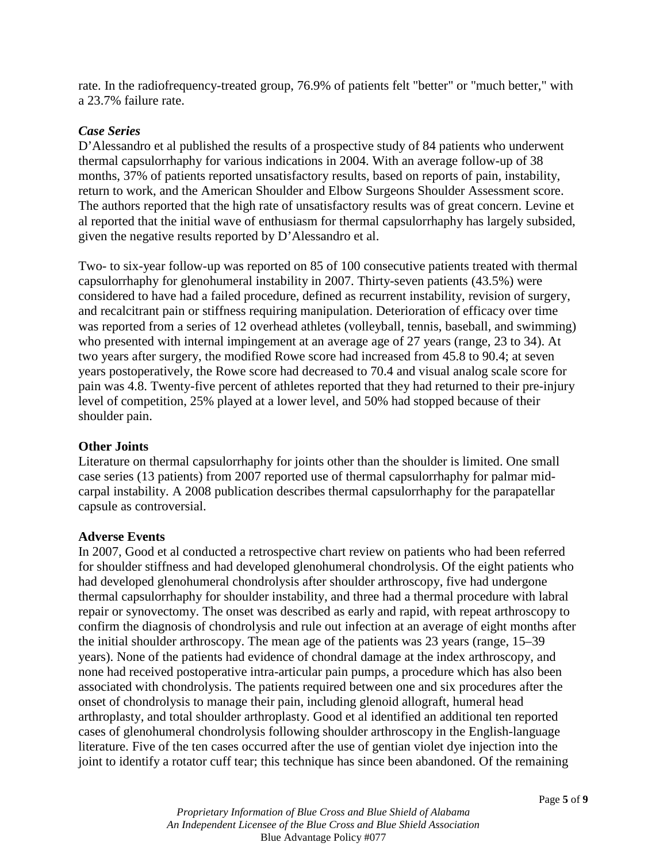rate. In the radiofrequency-treated group, 76.9% of patients felt "better" or "much better," with a 23.7% failure rate.

#### *Case Series*

D'Alessandro et al published the results of a prospective study of 84 patients who underwent thermal capsulorrhaphy for various indications in 2004. With an average follow-up of 38 months, 37% of patients reported unsatisfactory results, based on reports of pain, instability, return to work, and the American Shoulder and Elbow Surgeons Shoulder Assessment score. The authors reported that the high rate of unsatisfactory results was of great concern. Levine et al reported that the initial wave of enthusiasm for thermal capsulorrhaphy has largely subsided, given the negative results reported by D'Alessandro et al.

Two- to six-year follow-up was reported on 85 of 100 consecutive patients treated with thermal capsulorrhaphy for glenohumeral instability in 2007. Thirty-seven patients (43.5%) were considered to have had a failed procedure, defined as recurrent instability, revision of surgery, and recalcitrant pain or stiffness requiring manipulation. Deterioration of efficacy over time was reported from a series of 12 overhead athletes (volleyball, tennis, baseball, and swimming) who presented with internal impingement at an average age of 27 years (range, 23 to 34). At two years after surgery, the modified Rowe score had increased from 45.8 to 90.4; at seven years postoperatively, the Rowe score had decreased to 70.4 and visual analog scale score for pain was 4.8. Twenty-five percent of athletes reported that they had returned to their pre-injury level of competition, 25% played at a lower level, and 50% had stopped because of their shoulder pain.

#### **Other Joints**

Literature on thermal capsulorrhaphy for joints other than the shoulder is limited. One small case series (13 patients) from 2007 reported use of thermal capsulorrhaphy for palmar midcarpal instability. A 2008 publication describes thermal capsulorrhaphy for the parapatellar capsule as controversial.

#### **Adverse Events**

In 2007, Good et al conducted a retrospective chart review on patients who had been referred for shoulder stiffness and had developed glenohumeral chondrolysis. Of the eight patients who had developed glenohumeral chondrolysis after shoulder arthroscopy, five had undergone thermal capsulorrhaphy for shoulder instability, and three had a thermal procedure with labral repair or synovectomy. The onset was described as early and rapid, with repeat arthroscopy to confirm the diagnosis of chondrolysis and rule out infection at an average of eight months after the initial shoulder arthroscopy. The mean age of the patients was 23 years (range, 15–39 years). None of the patients had evidence of chondral damage at the index arthroscopy, and none had received postoperative intra-articular pain pumps, a procedure which has also been associated with chondrolysis. The patients required between one and six procedures after the onset of chondrolysis to manage their pain, including glenoid allograft, humeral head arthroplasty, and total shoulder arthroplasty. Good et al identified an additional ten reported cases of glenohumeral chondrolysis following shoulder arthroscopy in the English-language literature. Five of the ten cases occurred after the use of gentian violet dye injection into the joint to identify a rotator cuff tear; this technique has since been abandoned. Of the remaining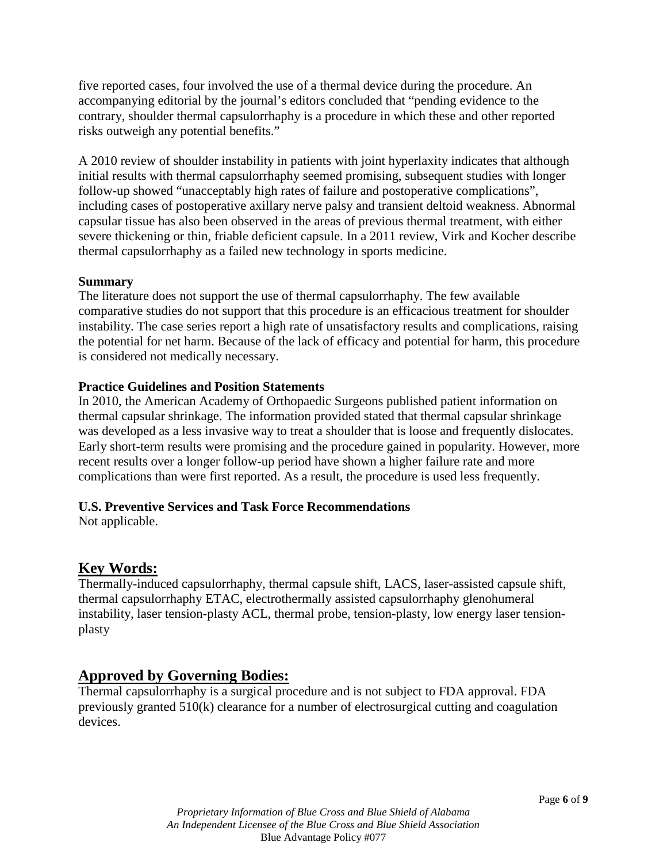five reported cases, four involved the use of a thermal device during the procedure. An accompanying editorial by the journal's editors concluded that "pending evidence to the contrary, shoulder thermal capsulorrhaphy is a procedure in which these and other reported risks outweigh any potential benefits."

A 2010 review of shoulder instability in patients with joint hyperlaxity indicates that although initial results with thermal capsulorrhaphy seemed promising, subsequent studies with longer follow-up showed "unacceptably high rates of failure and postoperative complications", including cases of postoperative axillary nerve palsy and transient deltoid weakness. Abnormal capsular tissue has also been observed in the areas of previous thermal treatment, with either severe thickening or thin, friable deficient capsule. In a 2011 review, Virk and Kocher describe thermal capsulorrhaphy as a failed new technology in sports medicine.

#### **Summary**

The literature does not support the use of thermal capsulorrhaphy. The few available comparative studies do not support that this procedure is an efficacious treatment for shoulder instability. The case series report a high rate of unsatisfactory results and complications, raising the potential for net harm. Because of the lack of efficacy and potential for harm, this procedure is considered not medically necessary.

#### **Practice Guidelines and Position Statements**

In 2010, the American Academy of Orthopaedic Surgeons published patient information on thermal capsular shrinkage. The information provided stated that thermal capsular shrinkage was developed as a less invasive way to treat a shoulder that is loose and frequently dislocates. Early short-term results were promising and the procedure gained in popularity. However, more recent results over a longer follow-up period have shown a higher failure rate and more complications than were first reported. As a result, the procedure is used less frequently.

## **U.S. Preventive Services and Task Force Recommendations**

Not applicable.

# **Key Words:**

Thermally-induced capsulorrhaphy, thermal capsule shift, LACS, laser-assisted capsule shift, thermal capsulorrhaphy ETAC, electrothermally assisted capsulorrhaphy glenohumeral instability, laser tension-plasty ACL, thermal probe, tension-plasty, low energy laser tensionplasty

# **Approved by Governing Bodies:**

Thermal capsulorrhaphy is a surgical procedure and is not subject to FDA approval. FDA previously granted 510(k) clearance for a number of electrosurgical cutting and coagulation devices.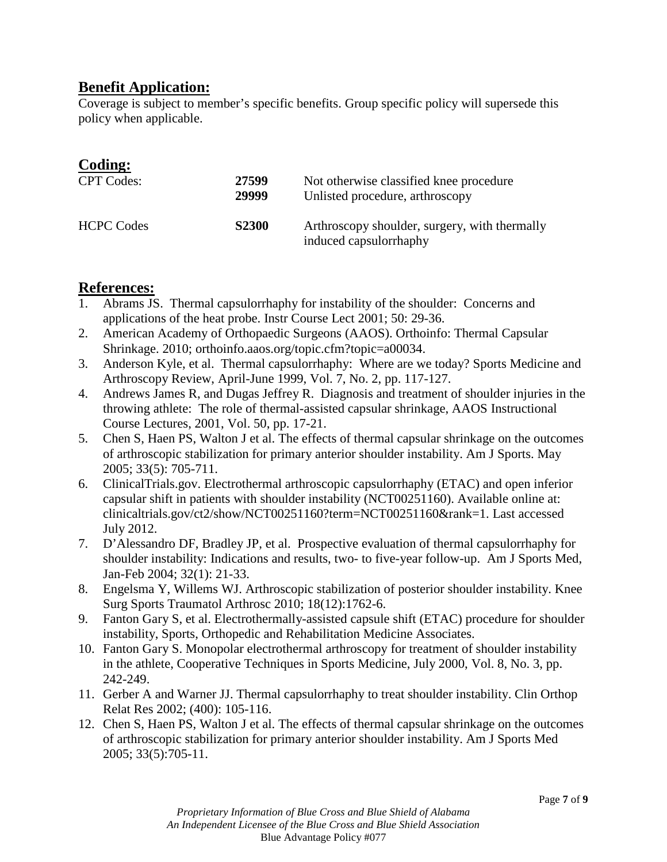# **Benefit Application:**

Coverage is subject to member's specific benefits. Group specific policy will supersede this policy when applicable.

## **Coding:**

| <b>CPT</b> Codes: | 27599<br>29999 | Not otherwise classified knee procedure<br>Unlisted procedure, arthroscopy |
|-------------------|----------------|----------------------------------------------------------------------------|
| <b>HCPC Codes</b> | <b>S2300</b>   | Arthroscopy shoulder, surgery, with thermally<br>induced capsulorrhaphy    |

## **References:**

- 1. Abrams JS. Thermal capsulorrhaphy for instability of the shoulder: Concerns and applications of the heat probe. Instr Course Lect 2001; 50: 29-36.
- 2. American Academy of Orthopaedic Surgeons (AAOS). Orthoinfo: Thermal Capsular Shrinkage. 2010; orthoinfo.aaos.org/topic.cfm?topic=a00034.
- 3. Anderson Kyle, et al. Thermal capsulorrhaphy: Where are we today? Sports Medicine and Arthroscopy Review, April-June 1999, Vol. 7, No. 2, pp. 117-127.
- 4. Andrews James R, and Dugas Jeffrey R. Diagnosis and treatment of shoulder injuries in the throwing athlete: The role of thermal-assisted capsular shrinkage, AAOS Instructional Course Lectures, 2001, Vol. 50, pp. 17-21.
- 5. Chen S, Haen PS, Walton J et al. The effects of thermal capsular shrinkage on the outcomes of arthroscopic stabilization for primary anterior shoulder instability. Am J Sports. May 2005; 33(5): 705-711.
- 6. ClinicalTrials.gov. Electrothermal arthroscopic capsulorrhaphy (ETAC) and open inferior capsular shift in patients with shoulder instability (NCT00251160). Available online at: clinicaltrials.gov/ct2/show/NCT00251160?term=NCT00251160&rank=1. Last accessed July 2012.
- 7. D'Alessandro DF, Bradley JP, et al. Prospective evaluation of thermal capsulorrhaphy for shoulder instability: Indications and results, two- to five-year follow-up. Am J Sports Med, Jan-Feb 2004; 32(1): 21-33.
- 8. Engelsma Y, Willems WJ. Arthroscopic stabilization of posterior shoulder instability. Knee Surg Sports Traumatol Arthrosc 2010; 18(12):1762-6.
- 9. Fanton Gary S, et al. Electrothermally-assisted capsule shift (ETAC) procedure for shoulder instability, Sports, Orthopedic and Rehabilitation Medicine Associates.
- 10. Fanton Gary S. Monopolar electrothermal arthroscopy for treatment of shoulder instability in the athlete, Cooperative Techniques in Sports Medicine, July 2000, Vol. 8, No. 3, pp. 242-249.
- 11. Gerber A and Warner JJ. Thermal capsulorrhaphy to treat shoulder instability. Clin Orthop Relat Res 2002; (400): 105-116.
- 12. Chen S, Haen PS, Walton J et al. The effects of thermal capsular shrinkage on the outcomes of arthroscopic stabilization for primary anterior shoulder instability. Am J Sports Med 2005; 33(5):705-11.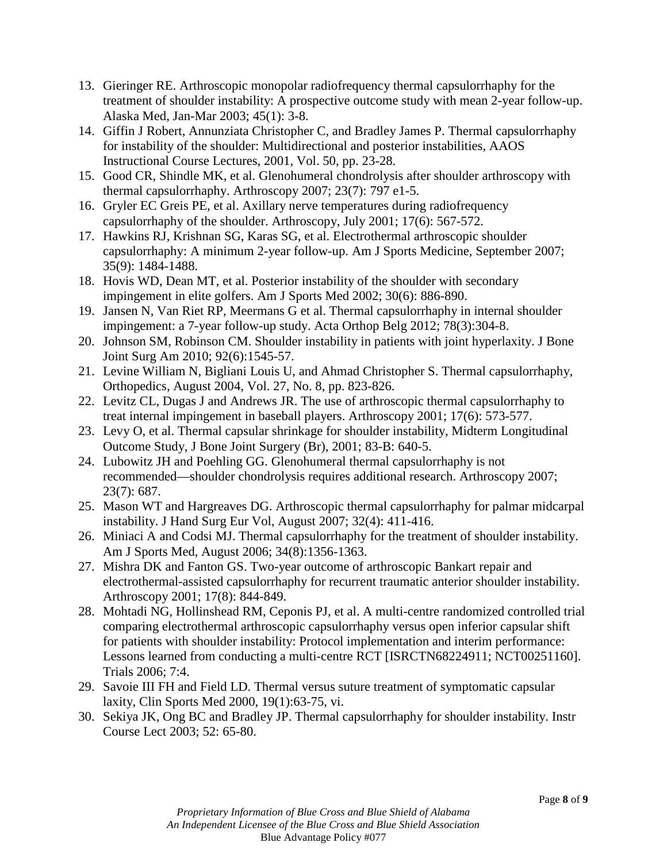- 13. Gieringer RE. Arthroscopic monopolar radiofrequency thermal capsulorrhaphy for the treatment of shoulder instability: A prospective outcome study with mean 2-year follow-up. Alaska Med, Jan-Mar 2003; 45(1): 3-8.
- 14. Giffin J Robert, Annunziata Christopher C, and Bradley James P. Thermal capsulorrhaphy for instability of the shoulder: Multidirectional and posterior instabilities, AAOS Instructional Course Lectures, 2001, Vol. 50, pp. 23-28.
- 15. Good CR, Shindle MK, et al. Glenohumeral chondrolysis after shoulder arthroscopy with thermal capsulorrhaphy. Arthroscopy 2007; 23(7): 797 e1-5.
- 16. Gryler EC Greis PE, et al. Axillary nerve temperatures during radiofrequency capsulorrhaphy of the shoulder. Arthroscopy, July 2001; 17(6): 567-572.
- 17. Hawkins RJ, Krishnan SG, Karas SG, et al. Electrothermal arthroscopic shoulder capsulorrhaphy: A minimum 2-year follow-up. Am J Sports Medicine, September 2007; 35(9): 1484-1488.
- 18. Hovis WD, Dean MT, et al. Posterior instability of the shoulder with secondary impingement in elite golfers. Am J Sports Med 2002; 30(6): 886-890.
- 19. Jansen N, Van Riet RP, Meermans G et al. Thermal capsulorrhaphy in internal shoulder impingement: a 7-year follow-up study. Acta Orthop Belg 2012; 78(3):304-8.
- 20. Johnson SM, Robinson CM. Shoulder instability in patients with joint hyperlaxity. J Bone Joint Surg Am 2010; 92(6):1545-57.
- 21. Levine William N, Bigliani Louis U, and Ahmad Christopher S. Thermal capsulorrhaphy, Orthopedics, August 2004, Vol. 27, No. 8, pp. 823-826.
- 22. Levitz CL, Dugas J and Andrews JR. The use of arthroscopic thermal capsulorrhaphy to treat internal impingement in baseball players. Arthroscopy 2001; 17(6): 573-577.
- 23. Levy O, et al. Thermal capsular shrinkage for shoulder instability, Midterm Longitudinal Outcome Study, J Bone Joint Surgery (Br), 2001; 83-B: 640-5.
- 24. Lubowitz JH and Poehling GG. Glenohumeral thermal capsulorrhaphy is not recommended—shoulder chondrolysis requires additional research. Arthroscopy 2007; 23(7): 687.
- 25. Mason WT and Hargreaves DG. Arthroscopic thermal capsulorrhaphy for palmar midcarpal instability. J Hand Surg Eur Vol, August 2007; 32(4): 411-416.
- 26. Miniaci A and Codsi MJ. Thermal capsulorrhaphy for the treatment of shoulder instability. Am J Sports Med, August 2006; 34(8):1356-1363.
- 27. Mishra DK and Fanton GS. Two-year outcome of arthroscopic Bankart repair and electrothermal-assisted capsulorrhaphy for recurrent traumatic anterior shoulder instability. Arthroscopy 2001; 17(8): 844-849.
- 28. Mohtadi NG, Hollinshead RM, Ceponis PJ, et al. A multi-centre randomized controlled trial comparing electrothermal arthroscopic capsulorrhaphy versus open inferior capsular shift for patients with shoulder instability: Protocol implementation and interim performance: Lessons learned from conducting a multi-centre RCT [ISRCTN68224911; NCT00251160]. Trials 2006; 7:4.
- 29. Savoie III FH and Field LD. Thermal versus suture treatment of symptomatic capsular laxity, Clin Sports Med 2000, 19(1):63-75, vi.
- 30. Sekiya JK, Ong BC and Bradley JP. Thermal capsulorrhaphy for shoulder instability. Instr Course Lect 2003; 52: 65-80.